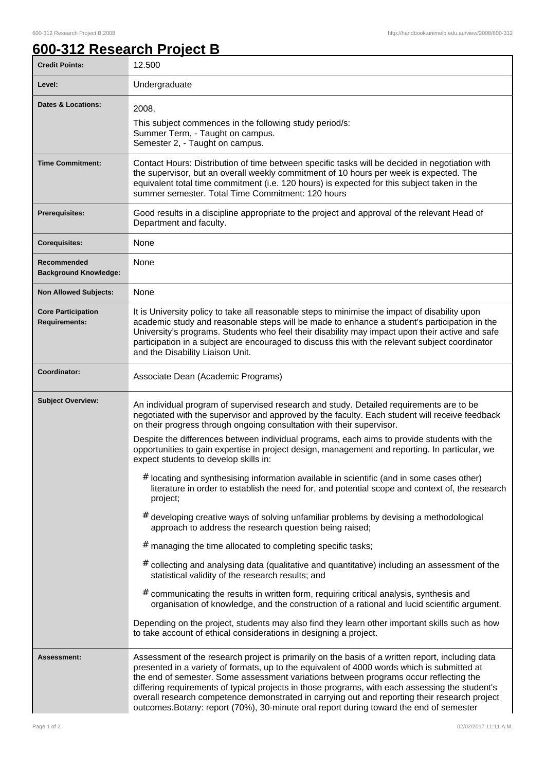## **600-312 Research Project B**

| <b>Credit Points:</b>                             | 12.500                                                                                                                                                                                                                                                                                                                                                                                                                                                                                                                                                                                  |
|---------------------------------------------------|-----------------------------------------------------------------------------------------------------------------------------------------------------------------------------------------------------------------------------------------------------------------------------------------------------------------------------------------------------------------------------------------------------------------------------------------------------------------------------------------------------------------------------------------------------------------------------------------|
| Level:                                            | Undergraduate                                                                                                                                                                                                                                                                                                                                                                                                                                                                                                                                                                           |
| <b>Dates &amp; Locations:</b>                     | 2008,<br>This subject commences in the following study period/s:<br>Summer Term, - Taught on campus.<br>Semester 2, - Taught on campus.                                                                                                                                                                                                                                                                                                                                                                                                                                                 |
| <b>Time Commitment:</b>                           | Contact Hours: Distribution of time between specific tasks will be decided in negotiation with<br>the supervisor, but an overall weekly commitment of 10 hours per week is expected. The<br>equivalent total time commitment (i.e. 120 hours) is expected for this subject taken in the<br>summer semester. Total Time Commitment: 120 hours                                                                                                                                                                                                                                            |
| <b>Prerequisites:</b>                             | Good results in a discipline appropriate to the project and approval of the relevant Head of<br>Department and faculty.                                                                                                                                                                                                                                                                                                                                                                                                                                                                 |
| <b>Corequisites:</b>                              | None                                                                                                                                                                                                                                                                                                                                                                                                                                                                                                                                                                                    |
| Recommended<br><b>Background Knowledge:</b>       | None                                                                                                                                                                                                                                                                                                                                                                                                                                                                                                                                                                                    |
| <b>Non Allowed Subjects:</b>                      | None                                                                                                                                                                                                                                                                                                                                                                                                                                                                                                                                                                                    |
| <b>Core Participation</b><br><b>Requirements:</b> | It is University policy to take all reasonable steps to minimise the impact of disability upon<br>academic study and reasonable steps will be made to enhance a student's participation in the<br>University's programs. Students who feel their disability may impact upon their active and safe<br>participation in a subject are encouraged to discuss this with the relevant subject coordinator<br>and the Disability Liaison Unit.                                                                                                                                                |
| Coordinator:                                      | Associate Dean (Academic Programs)                                                                                                                                                                                                                                                                                                                                                                                                                                                                                                                                                      |
| <b>Subject Overview:</b>                          | An individual program of supervised research and study. Detailed requirements are to be<br>negotiated with the supervisor and approved by the faculty. Each student will receive feedback<br>on their progress through ongoing consultation with their supervisor.                                                                                                                                                                                                                                                                                                                      |
|                                                   | Despite the differences between individual programs, each aims to provide students with the<br>opportunities to gain expertise in project design, management and reporting. In particular, we<br>expect students to develop skills in:                                                                                                                                                                                                                                                                                                                                                  |
|                                                   | # locating and synthesising information available in scientific (and in some cases other)<br>literature in order to establish the need for, and potential scope and context of, the research<br>project;                                                                                                                                                                                                                                                                                                                                                                                |
|                                                   | # developing creative ways of solving unfamiliar problems by devising a methodological<br>approach to address the research question being raised;                                                                                                                                                                                                                                                                                                                                                                                                                                       |
|                                                   | # managing the time allocated to completing specific tasks;                                                                                                                                                                                                                                                                                                                                                                                                                                                                                                                             |
|                                                   | # collecting and analysing data (qualitative and quantitative) including an assessment of the<br>statistical validity of the research results; and                                                                                                                                                                                                                                                                                                                                                                                                                                      |
|                                                   | $#$ communicating the results in written form, requiring critical analysis, synthesis and<br>organisation of knowledge, and the construction of a rational and lucid scientific argument.                                                                                                                                                                                                                                                                                                                                                                                               |
|                                                   | Depending on the project, students may also find they learn other important skills such as how<br>to take account of ethical considerations in designing a project.                                                                                                                                                                                                                                                                                                                                                                                                                     |
| Assessment:                                       | Assessment of the research project is primarily on the basis of a written report, including data<br>presented in a variety of formats, up to the equivalent of 4000 words which is submitted at<br>the end of semester. Some assessment variations between programs occur reflecting the<br>differing requirements of typical projects in those programs, with each assessing the student's<br>overall research competence demonstrated in carrying out and reporting their research project<br>outcomes. Botany: report (70%), 30-minute oral report during toward the end of semester |